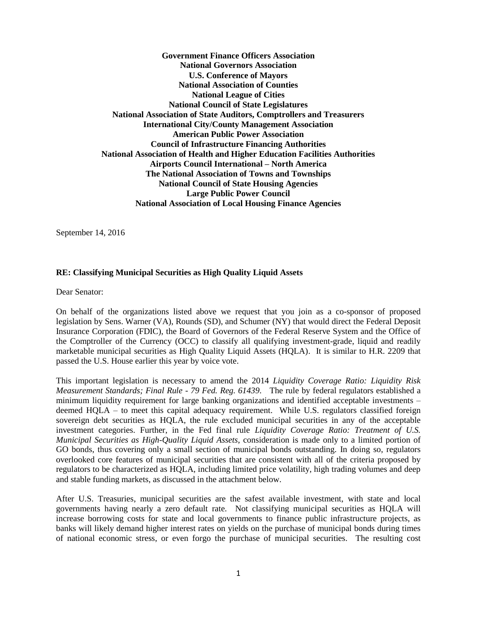**Government Finance Officers Association National Governors Association U.S. Conference of Mayors National Association of Counties National League of Cities National Council of State Legislatures National Association of State Auditors, Comptrollers and Treasurers International City/County Management Association American Public Power Association Council of Infrastructure Financing Authorities National Association of Health and Higher Education Facilities Authorities Airports Council International – North America The National Association of Towns and Townships National Council of State Housing Agencies Large Public Power Council National Association of Local Housing Finance Agencies**

September 14, 2016

# **RE: Classifying Municipal Securities as High Quality Liquid Assets**

Dear Senator:

On behalf of the organizations listed above we request that you join as a co-sponsor of proposed legislation by Sens. Warner (VA), Rounds (SD), and Schumer (NY) that would direct the Federal Deposit Insurance Corporation (FDIC), the Board of Governors of the Federal Reserve System and the Office of the Comptroller of the Currency (OCC) to classify all qualifying investment-grade, liquid and readily marketable municipal securities as High Quality Liquid Assets (HQLA). It is similar to H.R. 2209 that passed the U.S. House earlier this year by voice vote.

This important legislation is necessary to amend the 2014 *Liquidity Coverage Ratio: Liquidity Risk Measurement Standards; Final Rule - 79 Fed. Reg. 61439*. The rule by federal regulators established a minimum liquidity requirement for large banking organizations and identified acceptable investments – deemed HQLA – to meet this capital adequacy requirement. While U.S. regulators classified foreign sovereign debt securities as HQLA, the rule excluded municipal securities in any of the acceptable investment categories. Further, in the Fed final rule *Liquidity Coverage Ratio: Treatment of U.S. Municipal Securities as High-Quality Liquid Assets*, consideration is made only to a limited portion of GO bonds, thus covering only a small section of municipal bonds outstanding. In doing so, regulators overlooked core features of municipal securities that are consistent with all of the criteria proposed by regulators to be characterized as HQLA, including limited price volatility, high trading volumes and deep and stable funding markets, as discussed in the attachment below.

After U.S. Treasuries, municipal securities are the safest available investment, with state and local governments having nearly a zero default rate. Not classifying municipal securities as HQLA will increase borrowing costs for state and local governments to finance public infrastructure projects, as banks will likely demand higher interest rates on yields on the purchase of municipal bonds during times of national economic stress, or even forgo the purchase of municipal securities. The resulting cost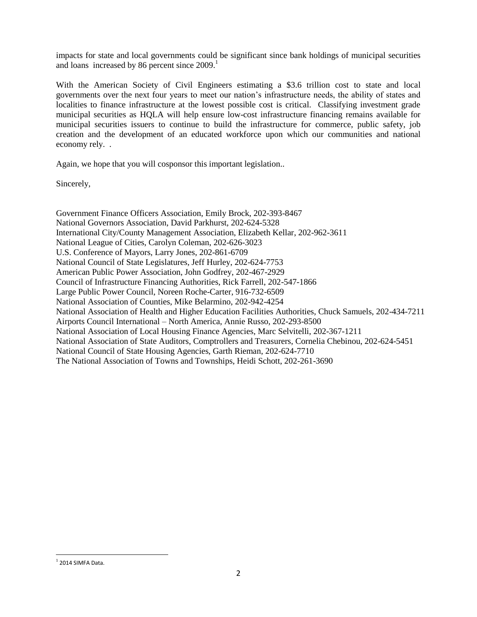impacts for state and local governments could be significant since bank holdings of municipal securities and loans increased by 86 percent since 2009.<sup>1</sup>

With the American Society of Civil Engineers estimating a \$3.6 trillion cost to state and local governments over the next four years to meet our nation's infrastructure needs, the ability of states and localities to finance infrastructure at the lowest possible cost is critical. Classifying investment grade municipal securities as HQLA will help ensure low-cost infrastructure financing remains available for municipal securities issuers to continue to build the infrastructure for commerce, public safety, job creation and the development of an educated workforce upon which our communities and national economy rely. .

Again, we hope that you will cosponsor this important legislation..

Sincerely,

Government Finance Officers Association, Emily Brock, 202-393-8467 National Governors Association, David Parkhurst, 202-624-5328 International City/County Management Association, Elizabeth Kellar, 202-962-3611 National League of Cities, Carolyn Coleman, 202-626-3023 U.S. Conference of Mayors, Larry Jones, 202-861-6709 National Council of State Legislatures, Jeff Hurley, 202-624-7753 American Public Power Association, John Godfrey, 202-467-2929 Council of Infrastructure Financing Authorities, Rick Farrell, 202-547-1866 Large Public Power Council, Noreen Roche-Carter, 916-732-6509 National Association of Counties, Mike Belarmino, 202-942-4254 National Association of Health and Higher Education Facilities Authorities, Chuck Samuels, 202-434-7211 Airports Council International – North America, Annie Russo, 202-293-8500 National Association of Local Housing Finance Agencies, Marc Selvitelli, 202-367-1211 National Association of State Auditors, Comptrollers and Treasurers, Cornelia Chebinou, 202-624-5451 National Council of State Housing Agencies, Garth Rieman, 202-624-7710 The National Association of Towns and Townships, Heidi Schott, 202-261-3690

 $^1$  2014 SIMFA Data.

 $\overline{\phantom{a}}$